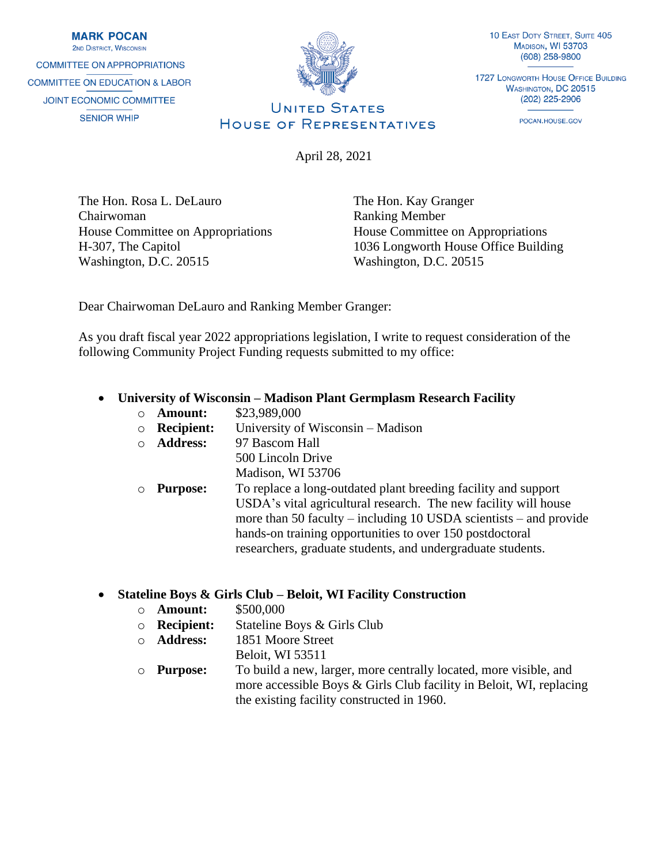**MARK POCAN 2ND DISTRICT WISCONSIN COMMITTEE ON APPROPRIATIONS COMMITTEE ON EDUCATION & LABOR** JOINT ECONOMIC COMMITTEE **SENIOR WHIP** 



10 EAST DOTY STREET, SUITE 405 MADISON, WI 53703 (608) 258-9800

**1727 LONGWORTH HOUSE OFFICE BUILDING** WASHINGTON, DC 20515 (202) 225-2906

POCAN.HOUSE.GOV

# **UNITED STATES** HOUSE OF REPRESENTATIVES

April 28, 2021

The Hon. Rosa L. DeLauro Chairwoman House Committee on Appropriations H-307, The Capitol Washington, D.C. 20515

The Hon. Kay Granger Ranking Member House Committee on Appropriations 1036 Longworth House Office Building Washington, D.C. 20515

Dear Chairwoman DeLauro and Ranking Member Granger:

As you draft fiscal year 2022 appropriations legislation, I write to request consideration of the following Community Project Funding requests submitted to my office:

## • **University of Wisconsin – Madison Plant Germplasm Research Facility**

- o **Amount:** \$23,989,000
- o **Recipient:** University of Wisconsin Madison
- o **Address:** 97 Bascom Hall

500 Lincoln Drive Madison, WI 53706

o **Purpose:** To replace a long-outdated plant breeding facility and support USDA's vital agricultural research. The new facility will house more than 50 faculty – including 10 USDA scientists – and provide hands-on training opportunities to over 150 postdoctoral researchers, graduate students, and undergraduate students.

## • **Stateline Boys & Girls Club – Beloit, WI Facility Construction**

- o **Amount:** \$500,000
- o **Recipient:** Stateline Boys & Girls Club
- o **Address:** 1851 Moore Street
	- Beloit, WI 53511
- o **Purpose:** To build a new, larger, more centrally located, more visible, and more accessible Boys & Girls Club facility in Beloit, WI, replacing the existing facility constructed in 1960.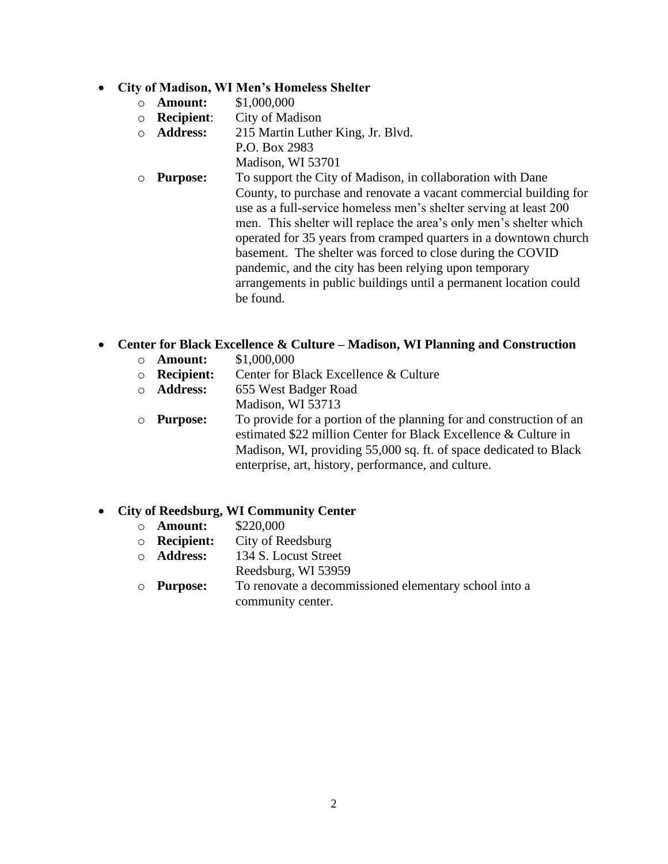#### • **City of Madison, WI Men's Homeless Shelter**

- o **Amount:** \$1,000,000
- o **Recipient**: City of Madison
- o **Address:** 215 Martin Luther King, Jr. Blvd.
	- P**.**O. Box 2983

Madison, WI 53701

o **Purpose:** To support the City of Madison, in collaboration with Dane County, to purchase and renovate a vacant commercial building for use as a full-service homeless men's shelter serving at least 200 men. This shelter will replace the area's only men's shelter which operated for 35 years from cramped quarters in a downtown church basement. The shelter was forced to close during the COVID pandemic, and the city has been relying upon temporary arrangements in public buildings until a permanent location could be found.

## • **Center for Black Excellence & Culture – Madison, WI Planning and Construction**

- o **Amount:** \$1,000,000
- o **Recipient:** Center for Black Excellence & Culture
- o **Address:** 655 West Badger Road
- Madison, WI 53713
- o **Purpose:** To provide for a portion of the planning for and construction of an estimated \$22 million Center for Black Excellence & Culture in Madison, WI, providing 55,000 sq. ft. of space dedicated to Black enterprise, art, history, performance, and culture.

## • **City of Reedsburg, WI Community Center**

- o **Amount:** \$220,000
- o **Recipient:** City of Reedsburg
- o **Address:** 134 S. Locust Street
	- Reedsburg, WI 53959
- o **Purpose:** To renovate a decommissioned elementary school into a community center.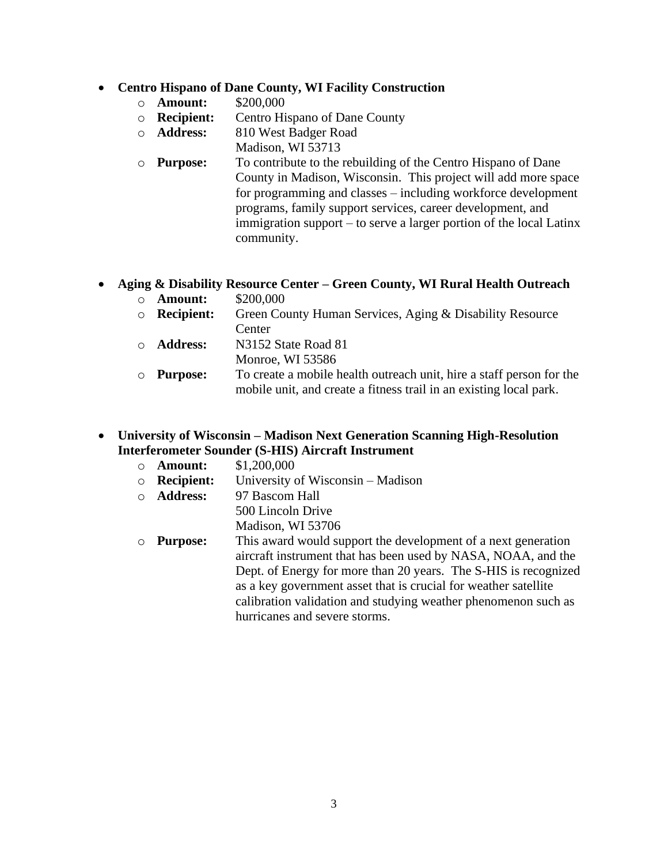#### • **Centro Hispano of Dane County, WI Facility Construction**

- o **Amount:** \$200,000
- o **Recipient:** Centro Hispano of Dane County
- o **Address:** 810 West Badger Road
- Madison, WI 53713
- o **Purpose:** To contribute to the rebuilding of the Centro Hispano of Dane County in Madison, Wisconsin. This project will add more space for programming and classes – including workforce development programs, family support services, career development, and immigration support – to serve a larger portion of the local Latinx community.

## • **Aging & Disability Resource Center – Green County, WI Rural Health Outreach**

- o **Amount:** \$200,000
- o **Recipient:** Green County Human Services, Aging & Disability Resource **Center**
- o **Address:** N3152 State Road 81
	- Monroe, WI 53586
- o **Purpose:** To create a mobile health outreach unit, hire a staff person for the mobile unit, and create a fitness trail in an existing local park.

#### • **University of Wisconsin – Madison Next Generation Scanning High-Resolution Interferometer Sounder (S-HIS) Aircraft Instrument**

- o **Amount:** \$1,200,000
- o **Recipient:** University of Wisconsin Madison
- o **Address:** 97 Bascom Hall
	- 500 Lincoln Drive Madison, WI 53706
- o **Purpose:** This award would support the development of a next generation aircraft instrument that has been used by NASA, NOAA, and the Dept. of Energy for more than 20 years. The S-HIS is recognized as a key government asset that is crucial for weather satellite calibration validation and studying weather phenomenon such as hurricanes and severe storms.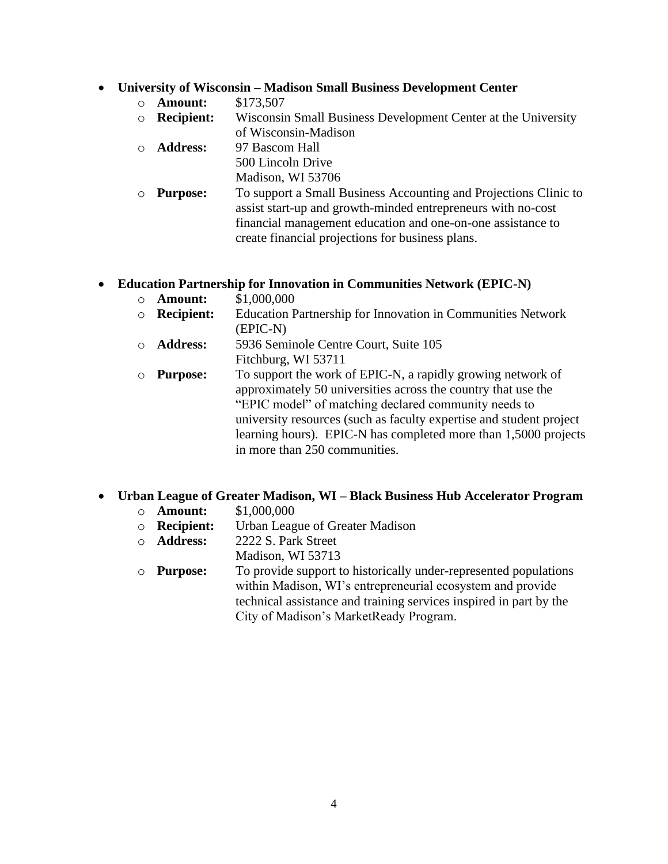#### • **University of Wisconsin – Madison Small Business Development Center**

- o **Amount:** \$173,507
- o **Recipient:** Wisconsin Small Business Development Center at the University of Wisconsin-Madison
- o **Address:** 97 Bascom Hall 500 Lincoln Drive Madison, WI 53706
- o **Purpose:** To support a Small Business Accounting and Projections Clinic to assist start-up and growth-minded entrepreneurs with no-cost financial management education and one-on-one assistance to create financial projections for business plans.

## • **Education Partnership for Innovation in Communities Network (EPIC-N)**

- o **Amount:** \$1,000,000
- o **Recipient:** Education Partnership for Innovation in Communities Network (EPIC-N)
- o **Address:** 5936 Seminole Centre Court, Suite 105 Fitchburg, WI 53711
- o **Purpose:** To support the work of EPIC-N, a rapidly growing network of approximately 50 universities across the country that use the "EPIC model" of matching declared community needs to university resources (such as faculty expertise and student project learning hours). EPIC-N has completed more than 1,5000 projects in more than 250 communities.

## • **Urban League of Greater Madison, WI – Black Business Hub Accelerator Program**

- o **Amount:** \$1,000,000
- o **Recipient:** Urban League of Greater Madison
- o **Address:** 2222 S. Park Street
- Madison, WI 53713
- o **Purpose:** To provide support to historically under-represented populations within Madison, WI's entrepreneurial ecosystem and provide technical assistance and training services inspired in part by the City of Madison's MarketReady Program.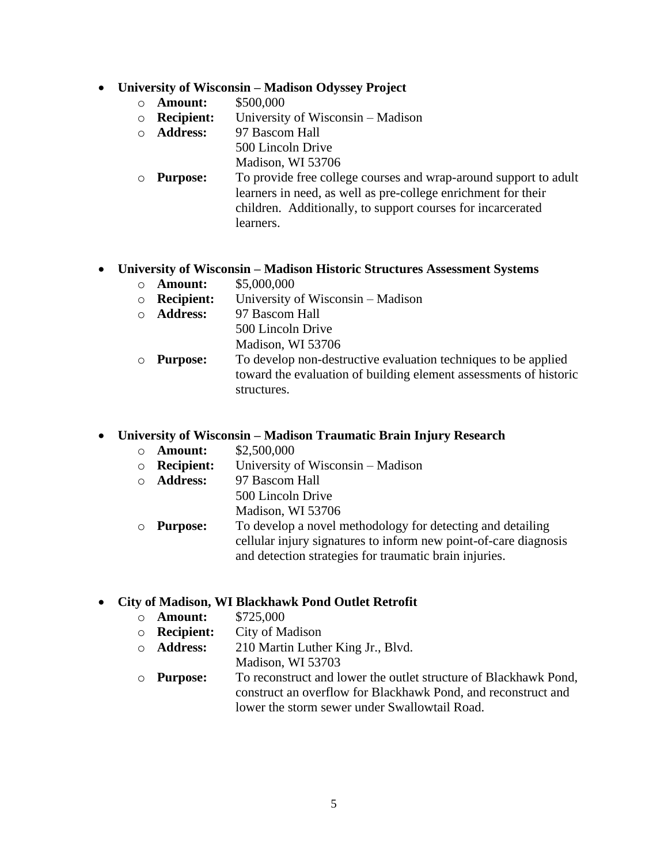#### • **University of Wisconsin – Madison Odyssey Project**

- o **Amount:** \$500,000
- o **Recipient:** University of Wisconsin Madison
- o **Address:** 97 Bascom Hall
	- 500 Lincoln Drive
	- Madison, WI 53706
- o **Purpose:** To provide free college courses and wrap-around support to adult learners in need, as well as pre-college enrichment for their children. Additionally, to support courses for incarcerated learners.

## • **University of Wisconsin – Madison Historic Structures Assessment Systems**

- o **Amount:** \$5,000,000
- o **Recipient:** University of Wisconsin Madison
- o **Address:** 97 Bascom Hall 500 Lincoln Drive Madison, WI 53706
- o **Purpose:** To develop non-destructive evaluation techniques to be applied toward the evaluation of building element assessments of historic structures.

#### • **University of Wisconsin – Madison Traumatic Brain Injury Research**

- o **Amount:** \$2,500,000
- o **Recipient:** University of Wisconsin Madison
- o **Address:** 97 Bascom Hall
	- 500 Lincoln Drive
	- Madison, WI 53706
- o **Purpose:** To develop a novel methodology for detecting and detailing cellular injury signatures to inform new point-of-care diagnosis and detection strategies for traumatic brain injuries.

## • **City of Madison, WI Blackhawk Pond Outlet Retrofit**

- o **Amount:** \$725,000
- o **Recipient:** City of Madison
- o **Address:** 210 Martin Luther King Jr., Blvd.
	- Madison, WI 53703
- o **Purpose:** To reconstruct and lower the outlet structure of Blackhawk Pond, construct an overflow for Blackhawk Pond, and reconstruct and lower the storm sewer under Swallowtail Road.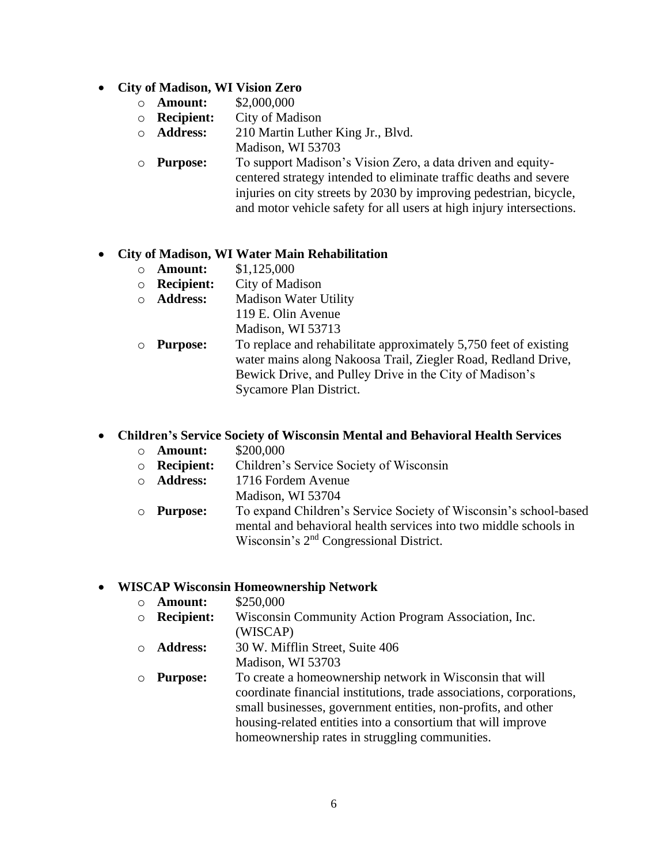## • **City of Madison, WI Vision Zero**

- o **Amount:** \$2,000,000
- o **Recipient:** City of Madison
- o **Address:** 210 Martin Luther King Jr., Blvd. Madison, WI 53703
- o **Purpose:** To support Madison's Vision Zero, a data driven and equitycentered strategy intended to eliminate traffic deaths and severe injuries on city streets by 2030 by improving pedestrian, bicycle, and motor vehicle safety for all users at high injury intersections.

## • **City of Madison, WI Water Main Rehabilitation**

- o **Amount:** \$1,125,000
- o **Recipient:** City of Madison
- o **Address:** Madison Water Utility 119 E. Olin Avenue
	- Madison, WI 53713
- o **Purpose:** To replace and rehabilitate approximately 5,750 feet of existing water mains along Nakoosa Trail, Ziegler Road, Redland Drive, Bewick Drive, and Pulley Drive in the City of Madison's Sycamore Plan District.

## • **Children's Service Society of Wisconsin Mental and Behavioral Health Services**

- o **Amount:** \$200,000
- o **Recipient:** Children's Service Society of Wisconsin
- o **Address:** 1716 Fordem Avenue
	- Madison, WI 53704
- o **Purpose:** To expand Children's Service Society of Wisconsin's school-based mental and behavioral health services into two middle schools in Wisconsin's 2<sup>nd</sup> Congressional District.

## • **WISCAP Wisconsin Homeownership Network**

- o **Amount:** \$250,000
- o **Recipient:** Wisconsin Community Action Program Association, Inc.
	- (WISCAP)
- o **Address:** 30 W. Mifflin Street, Suite 406 Madison, WI 53703
- o **Purpose:** To create a homeownership network in Wisconsin that will coordinate financial institutions, trade associations, corporations, small businesses, government entities, non-profits, and other housing-related entities into a consortium that will improve homeownership rates in struggling communities.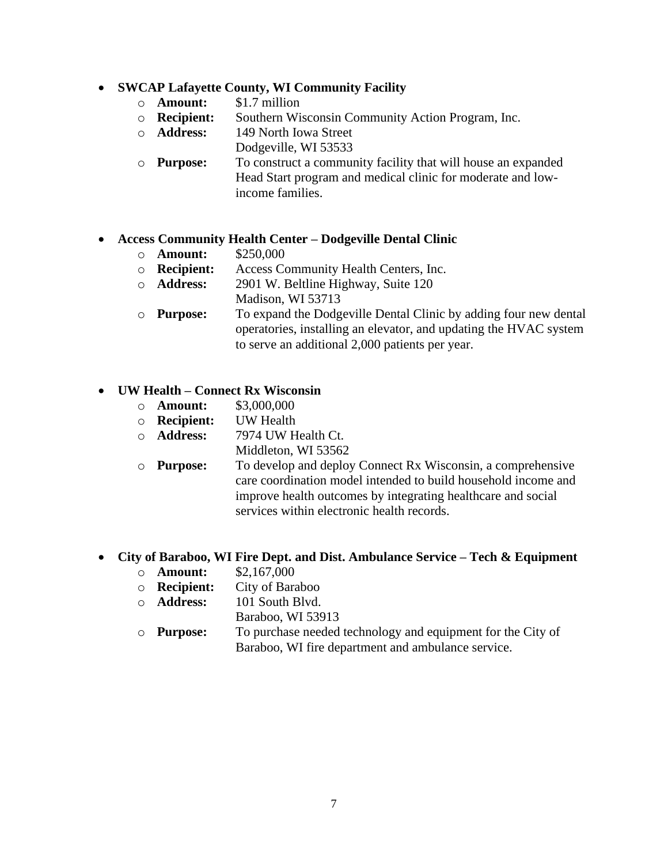#### • **SWCAP Lafayette County, WI Community Facility**

- o **Amount:** \$1.7 million
- o **Recipient:** Southern Wisconsin Community Action Program, Inc.
- o **Address:** 149 North Iowa Street Dodgeville, WI 53533
- o **Purpose:** To construct a community facility that will house an expanded Head Start program and medical clinic for moderate and lowincome families.

#### • **Access Community Health Center – Dodgeville Dental Clinic**

- o **Amount:** \$250,000
- o **Recipient:** Access Community Health Centers, Inc.
- o **Address:** 2901 W. Beltline Highway, Suite 120
- Madison, WI 53713
- o **Purpose:** To expand the Dodgeville Dental Clinic by adding four new dental operatories, installing an elevator, and updating the HVAC system to serve an additional 2,000 patients per year.

#### • **UW Health – Connect Rx Wisconsin**

- o **Amount:** \$3,000,000
- o **Recipient:** UW Health
- o **Address:** 7974 UW Health Ct.
	- Middleton, WI 53562
- o **Purpose:** To develop and deploy Connect Rx Wisconsin, a comprehensive care coordination model intended to build household income and improve health outcomes by integrating healthcare and social services within electronic health records.

#### • **City of Baraboo, WI Fire Dept. and Dist. Ambulance Service – Tech & Equipment**

- o **Amount:** \$2,167,000
- o **Recipient:** City of Baraboo
- o **Address:** 101 South Blvd.
	- Baraboo, WI 53913
- o **Purpose:** To purchase needed technology and equipment for the City of Baraboo, WI fire department and ambulance service.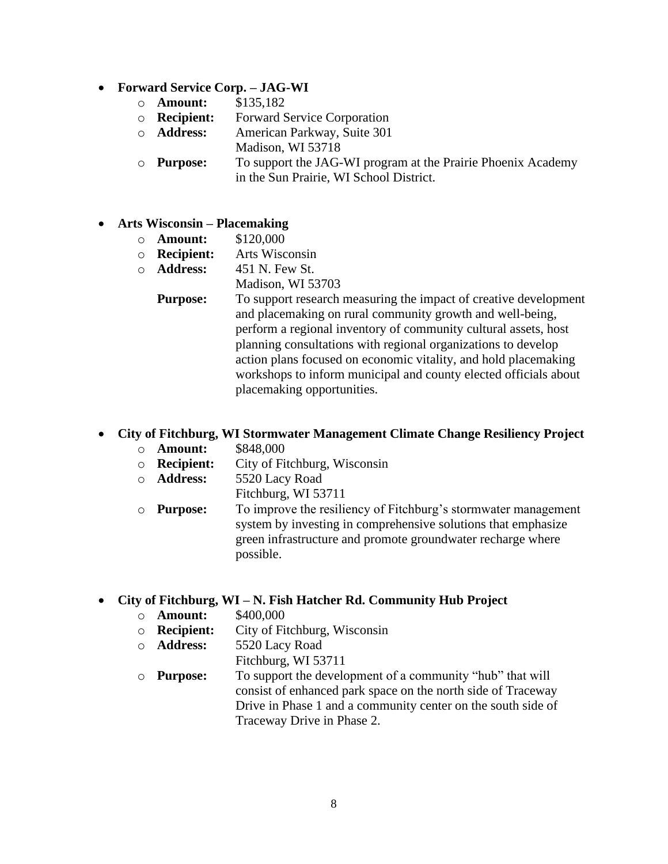- **Forward Service Corp. – JAG-WI**
	- o **Amount:** \$135,182
	- o **Recipient:** Forward Service Corporation
	- o **Address:** American Parkway, Suite 301
	- Madison, WI 53718
	- o **Purpose:** To support the JAG-WI program at the Prairie Phoenix Academy in the Sun Prairie, WI School District.

#### • **Arts Wisconsin – Placemaking**

- o **Amount:** \$120,000
- o **Recipient:** Arts Wisconsin
- o **Address:** 451 N. Few St.
	- Madison, WI 53703
	- **Purpose:** To support research measuring the impact of creative development and placemaking on rural community growth and well-being, perform a regional inventory of community cultural assets, host planning consultations with regional organizations to develop action plans focused on economic vitality, and hold placemaking workshops to inform municipal and county elected officials about placemaking opportunities.

## • **City of Fitchburg, WI Stormwater Management Climate Change Resiliency Project**

- o **Amount:** \$848,000
- o **Recipient:** City of Fitchburg, Wisconsin
- o **Address:** 5520 Lacy Road
	- Fitchburg, WI 53711
- o **Purpose:** To improve the resiliency of Fitchburg's stormwater management system by investing in comprehensive solutions that emphasize green infrastructure and promote groundwater recharge where possible.

#### • **City of Fitchburg, WI – N. Fish Hatcher Rd. Community Hub Project**

- o **Amount:** \$400,000
- o **Recipient:** City of Fitchburg, Wisconsin
- o **Address:** 5520 Lacy Road
	- Fitchburg, WI 53711
- o **Purpose:** To support the development of a community "hub" that will consist of enhanced park space on the north side of Traceway Drive in Phase 1 and a community center on the south side of Traceway Drive in Phase 2.